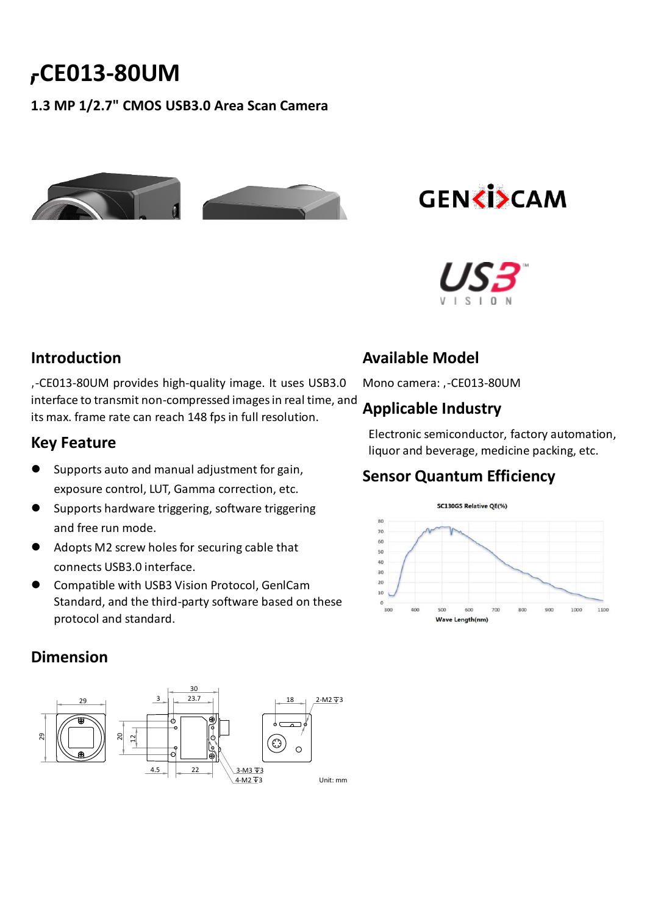# **-CE013-80UM**

**1.3 MP 1/2.7" CMOS USB3.0 Area Scan Camera**





#### **Introduction**

**,**-CE013-80UM provides high-quality image. It uses USB3.0 interface to transmit non-compressed images in real time, and its max. frame rate can reach 148 fps in full resolution.

#### **Key Feature**

- Supports auto and manual adjustment for gain, exposure control, LUT, Gamma correction, etc.
- Supports hardware triggering, software triggering and free run mode.
- Adopts M2 screw holes for securing cable that connects USB3.0 interface.
- Compatible with USB3 Vision Protocol, GenlCam Standard, and the third-party software based on these protocol and standard.

# **Available Model**

Mono camera: HC-CE013-80UM

## **Applicable Industry**

Electronic semiconductor, factory automation, liquor and beverage, medicine packing, etc.

### **Sensor Quantum Efficiency**



#### **Dimension**